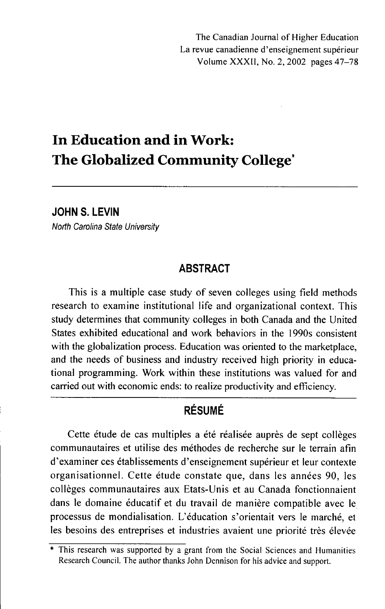# **In Education and in Work: The Globalized Community College\***

**JOHN S. LEVIN** 

*North Carolina State University* 

#### **ABSTRACT**

This is a multiple case study of seven colleges using field methods research to examine institutional life and organizational context. This study determines that community colleges in both Canada and the United States exhibited educational and work behaviors in the 1990s consistent with the globalization process. Education was oriented to the marketplace, and the needs of business and industry received high priority in educational programming. Work within these institutions was valued for and carried out with economic ends: to realize productivity and efficiency.

# **RÉSUMÉ**

Cette étude de cas multiples a été réalisée auprès de sept collèges communautaires et utilise des méthodes de recherche sur le terrain afin d'examiner ces établissements d'enseignement supérieur et leur contexte organisationnel. Cette étude constate que, dans les années 90, les collèges communautaires aux Etats-Unis et au Canada fonctionnaient dans le domaine éducatif et du travail de manière compatible avec le processus de mondialisation. L'éducation s'orientait vers le marché, et les besoins des entreprises et industries avaient une priorité très élevée

<sup>\*</sup> This research was supported by a grant from the Social Sciences and Humanities Research Council. The author thanks John Dennison for his advice and support.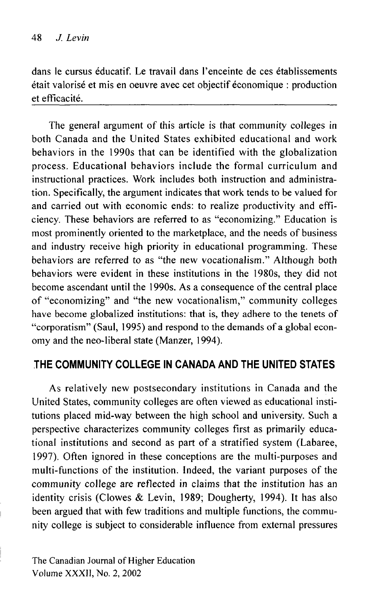dans le eursus éducatif. Le travail dans l'enceinte de ces établissements était valorisé et mis en oeuvre avec cet objectif économique : production et efficacité.

The general argument of this article is that community colleges in both Canada and the United States exhibited educational and work behaviors in the 1990s that can be identified with the globalization process. Educational behaviors include the formal curriculum and instructional practices. Work includes both instruction and administration. Specifically, the argument indicates that work tends to be valued for and carried out with economic ends: to realize productivity and efficiency. These behaviors are referred to as "economizing." Education is most prominently oriented to the marketplace, and the needs of business and industry receive high priority in educational programming. These behaviors are referred to as "the new vocationalism." Although both behaviors were evident in these institutions in the 1980s, they did not become ascendant until the 1990s. As a consequence of the central place of "economizing" and "the new vocationalism," community colleges have become globalized institutions: that is, they adhere to the tenets of "corporatism" (Saul, 1995) and respond to the demands of a global economy and the neo-liberal state (Manzer, 1994).

## **THE COMMUNITY COLLEGE IN CANADA AND THE UNITED STATES**

As relatively new postsecondary institutions in Canada and the United States, community colleges are often viewed as educational institutions placed mid-way between the high school and university. Such a perspective characterizes community colleges first as primarily educational institutions and second as part of a stratified system (Labaree, 1997). Often ignored in these conceptions are the multi-purposes and multi-functions of the institution. Indeed, the variant purposes of the community college are reflected in claims that the institution has an identity crisis (Clowes & Levin, 1989; Dougherty, 1994). It has also been argued that with few traditions and multiple functions, the community college is subject to considerable influence from external pressures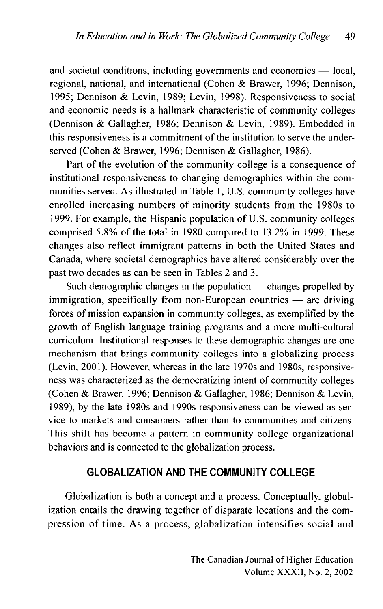and societal conditions, including governments and economies — local, regional, national, and international (Cohen & Brawer, 1996; Dennison, 1995; Dennison & Levin, 1989; Levin, 1998). Responsiveness to social and economic needs is a hallmark characteristic of community colleges (Dennison & Gallagher, 1986; Dennison & Levin, 1989). Embedded in this responsiveness is a commitment of the institution to serve the underserved (Cohen & Brawer, 1996; Dennison & Gallagher, 1986).

Part of the evolution of the community college is a consequence of institutional responsiveness to changing demographics within the communities served. As illustrated in Table 1, U.S. community colleges have enrolled increasing numbers of minority students from the 1980s to 1999. For example, the Hispanic population of U.S. community colleges comprised 5.8% of the total in 1980 compared to 13.2% in 1999. These changes also reflect immigrant patterns in both the United States and Canada, where societal demographics have altered considerably over the past two decades as can be seen in Tables 2 and 3.

Such demographic changes in the population — changes propelled by immigration, specifically from non-European countries — are driving forces of mission expansion in community colleges, as exemplified by the growth of English language training programs and a more multi-cultural curriculum. Institutional responses to these demographic changes are one mechanism that brings community colleges into a globalizing process (Levin, 2001). However, whereas in the late 1970s and 1980s, responsiveness was characterized as the democratizing intent of community colleges (Cohen & Brawer, 1996; Dennison & Gallagher, 1986; Dennison & Levin, 1989), by the late 1980s and 1990s responsiveness can be viewed as service to markets and consumers rather than to communities and citizens. This shift has become a pattern in community college organizational behaviors and is connected to the globalization process.

### **GLOBALIZATION AND THE COMMUNITY COLLEGE**

Globalization is both a concept and a process. Conceptually, globalization entails the drawing together of disparate locations and the compression of time. As a process, globalization intensifies social and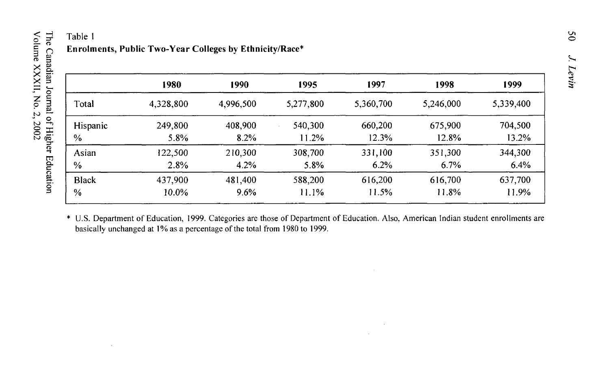# Table 1 **Enrolments, Public Two-Year Colleges by Ethnicity/Race\***

|               | 1980      | 1990      | 1995      | 1997      | 1998      | 1999      |
|---------------|-----------|-----------|-----------|-----------|-----------|-----------|
| Total         | 4,328,800 | 4,996,500 | 5,277,800 | 5,360,700 | 5,246,000 | 5,339,400 |
| Hispanic      | 249,800   | 408,900   | 540,300   | 660,200   | 675,900   | 704,500   |
| $\%$          | 5.8%      | $8.2\%$   | 11.2%     | 12.3%     | 12.8%     | 13.2%     |
| Asian         | 122.500   | 210,300   | 308,700   | 331,100   | 351,300   | 344,300   |
| $\frac{6}{9}$ | 2.8%      | 4.2%      | 5.8%      | 6.2%      | 6.7%      | 6.4%      |
| <b>Black</b>  | 437,900   | 481,400   | 588,200   | 616,200   | 616,700   | 637,700   |
| $\frac{0}{0}$ | $10.0\%$  | 9.6%      | 11.1%     | 11.5%     | 11.8%     | 11.9%     |

\* U.S. Department of Education, 1999. Categories are those of Department of Education. Also, American Indian student enrollments are basically unchanged at 1% as a percentage of the total from 1980 to 1999.

Volume XXXII, No. 2, 2002

The Canadian Journal of Higher Education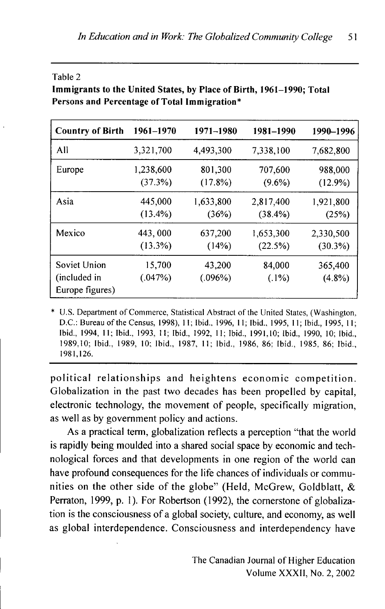| ×<br>٠ |  |
|--------|--|
|--------|--|

**Immigrants to the United States, by Place of Birth, 1961-1990; Total Persons and Percentage of Total Immigration\*** 

| <b>Country of Birth</b>                         | 1961-1970         | 1971-1980         | 1981-1990          | 1990-1996            |
|-------------------------------------------------|-------------------|-------------------|--------------------|----------------------|
| All                                             | 3,321,700         | 4,493,300         | 7,338,100          | 7,682,800            |
| Europe                                          | 1,238,600         | 801,300           | 707,600            | 988,000              |
|                                                 | (37.3%)           | (17.8%)           | $(9.6\%)$          | $(12.9\%)$           |
| Asia                                            | 445,000           | 1,633,800         | 2,817,400          | 1,921,800            |
|                                                 | $(13.4\%)$        | (36%)             | (38.4%)            | (25%)                |
| Mexico                                          | 443,000           | 637,200           | 1,653,300          | 2,330,500            |
|                                                 | (13.3%)           | (14%)             | (22.5%)            | (30.3%)              |
| Soviet Union<br>(included in<br>Europe figures) | 15,700<br>(.047%) | 43,200<br>(.096%) | 84,000<br>$(.1\%)$ | 365,400<br>$(4.8\%)$ |

\* U.S. Department of Commerce, Statistical Abstract of the United States, (Washington, D.C. : Bureau of the Census, 1998), 11; Ibid., 1996, 11: Ibid., 1995, 11; Ibid., 1995, 11; Ibid., 1994, 11; Ibid., 1993, 11; Ibid., 1992, 11; Ibid., 1991,10; Ibid., 1990, 10; Ibid., 1989,10; Ibid., 1989, 10; Ibid., 1987, 11; Ibid., 1986, 86; Ibid., 1985, 86; Ibid., 1981,126.

political relationships and heightens economic competition. Globalization in the past two decades has been propelled by capital, electronic technology, the movement of people, specifically migration, as well as by government policy and actions.

As a practical term, globalization reflects a perception "that the world is rapidly being moulded into a shared social space by economic and technological forces and that developments in one region of the world can have profound consequences for the life chances of individuals or communities on the other side of the globe" (Held, McGrew, Goldblatt,  $\&$ Perraton, 1999, p. 1). For Robertson (1992), the cornerstone of globalization is the consciousness of a global society, culture, and economy, as well as global interdependence. Consciousness and interdependency have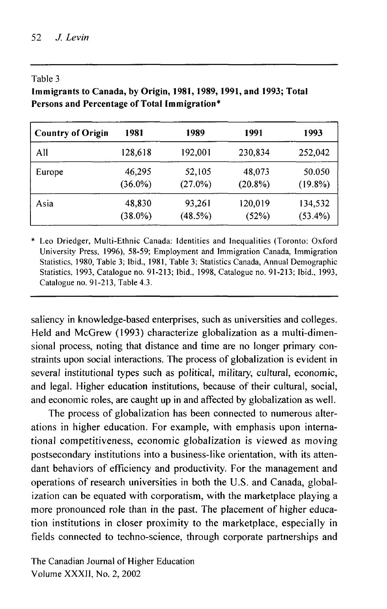#### Table 3

**Immigrants to Canada, by Origin, 1981,1989,1991, and 1993; Total Persons and Percentage of Total Immigration\*** 

| <b>Country of Origin</b> | 1981       | 1989       | 1991       | 1993       |
|--------------------------|------------|------------|------------|------------|
| All                      | 128,618    | 192,001    | 230,834    | 252,042    |
| Europe                   | 46,295     | 52,105     | 48,073     | 50.050     |
|                          | $(36.0\%)$ | $(27.0\%)$ | $(20.8\%)$ | $(19.8\%)$ |
| Asia                     | 48,830     | 93,261     | 120,019    | 134,532    |
|                          | $(38.0\%)$ | (48.5%)    | (52%)      | (53.4%)    |

\* Leo Driedger, Multi-Ethnic Canada: Identities and Inequalities (Toronto: Oxford University Press, 1996), 58-59; Employment and Immigration Canada, Immigration Statistics, 1980, Table 3: Ibid., 1981, Table 3: Statistics Canada, Annual Demographic Statistics, 1993, Catalogue no. 91-213; Ibid., 1998, Catalogue no. 91-213; Ibid., 1993, Catalogue no. 91-213, Table 4.3.

saliency in knowledge-based enterprises, such as universities and colleges. Held and McGrew (1993) characterize globalization as a multi-dimensional process, noting that distance and time are no longer primary constraints upon social interactions. The process of globalization is evident in several institutional types such as political, military, cultural, economic, and legal. Higher education institutions, because of their cultural, social, and economic roles, are caught up in and affected by globalization as well.

The process of globalization has been connected to numerous alterations in higher education. For example, with emphasis upon international competitiveness, economic globalization is viewed as moving postsecondary institutions into a business-like orientation, with its attendant behaviors of efficiency and productivity. For the management and operations of research universities in both the U.S. and Canada, globalization can be equated with corporatism, with the marketplace playing a more pronounced role than in the past. The placement of higher education institutions in closer proximity to the marketplace, especially in fields connected to techno-science, through corporate partnerships and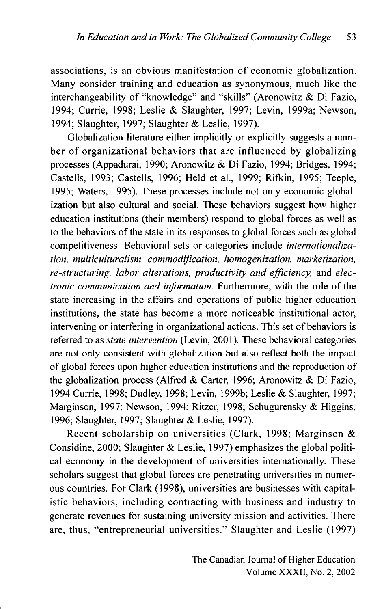associations, is an obvious manifestation of economic globalization. Many consider training and education as synonymous, much like the interchangeability of "knowledge" and "skills" (Aronowitz & Di Fazio, 1994; Currie, 1998; Leslie & Slaughter, 1997; Levin, 1999a; Newson, 1994; Slaughter, 1997; Slaughter & Leslie, 1997).

Globalization literature either implicitly or explicitly suggests a number of organizational behaviors that are influenced by globalizing processes (Appadurai, 1990; Aronowitz & Di Fazio, 1994; Bridges, 1994; Castells, 1993; Castells, 1996; Held et al., 1999; Rifkin, 1995; Teeple, 1995; Waters, 1995). These processes include not only economic globalization but also cultural and social. These behaviors suggest how higher education institutions (their members) respond to global forces as well as to the behaviors of the state in its responses to global forces such as global competitiveness. Behavioral sets or categories include *internationalization, multiculturalism, commodification, homogenization, marketization, re-structuring, labor alterations, productivity and efficiency,* and *electronic communication and information.* Furthermore, with the role of the state increasing in the affairs and operations of public higher education institutions, the state has become a more noticeable institutional actor, intervening or interfering in organizational actions. This set of behaviors is referred to as *state intervention* (Levin, 2001 ). These behavioral categories are not only consistent with globalization but also reflect both the impact of global forces upon higher education institutions and the reproduction of the globalization process (Alfred & Carter, 1996; Aronowitz & Di Fazio, 1994 Currie, 1998; Dudley, 1998; Levin, 1999b; Leslie & Slaughter, 1997; Marginson, 1997; Newson, 1994; Ritzer, 1998; Schugurensky & Higgins, 1996; Slaughter, 1997; Slaughter & Leslie, 1997).

Recent scholarship on universities (Clark, 1998; Marginson & Considine, 2000; Slaughter & Leslie, 1997) emphasizes the global political economy in the development of universities internationally. These scholars suggest that global forces are penetrating universities in numerous countries. For Clark (1998), universities are businesses with capitalistic behaviors, including contracting with business and industry to generate revenues for sustaining university mission and activities. There are, thus, "entrepreneurial universities." Slaughter and Leslie (1997)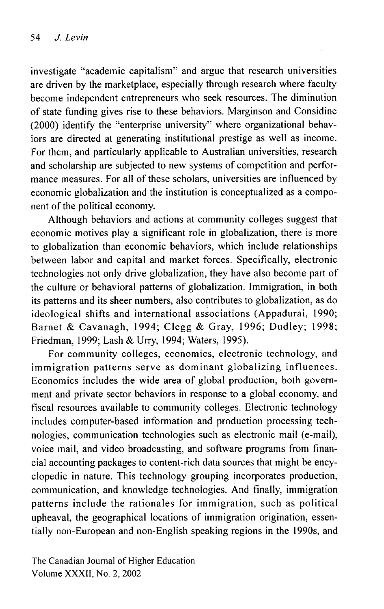investigate "academic capitalism" and argue that research universities are driven by the marketplace, especially through research where faculty become independent entrepreneurs who seek resources. The diminution of state funding gives rise to these behaviors. Marginson and Considine (2000) identify the "enterprise university" where organizational behaviors are directed at generating institutional prestige as well as income. For them, and particularly applicable to Australian universities, research and scholarship are subjected to new systems of competition and performance measures. For all of these scholars, universities are influenced by economic globalization and the institution is conceptualized as a component of the political economy.

Although behaviors and actions at community colleges suggest that economic motives play a significant role in globalization, there is more to globalization than economic behaviors, which include relationships between labor and capital and market forces. Specifically, electronic technologies not only drive globalization, they have also become part of the culture or behavioral patterns of globalization. Immigration, in both its patterns and its sheer numbers, also contributes to globalization, as do ideological shifts and international associations (Appadurai, 1990; Barnet & Cavanagh, 1994; Clegg & Gray, 1996; Dudley; 1998; Friedman, 1999; Lash & Urry, 1994; Waters, 1995).

For community colleges, economics, electronic technology, and immigration patterns serve as dominant globalizing influences. Economics includes the wide area of global production, both government and private sector behaviors in response to a global economy, and fiscal resources available to community colleges. Electronic technology includes computer-based information and production processing technologies, communication technologies such as electronic mail (e-mail), voice mail, and video broadcasting, and software programs from financial accounting packages to content-rich data sources that might be encyclopedic in nature. This technology grouping incorporates production, communication, and knowledge technologies. And finally, immigration patterns include the rationales for immigration, such as political upheaval, the geographical locations of immigration origination, essentially non-European and non-English speaking regions in the 1990s, and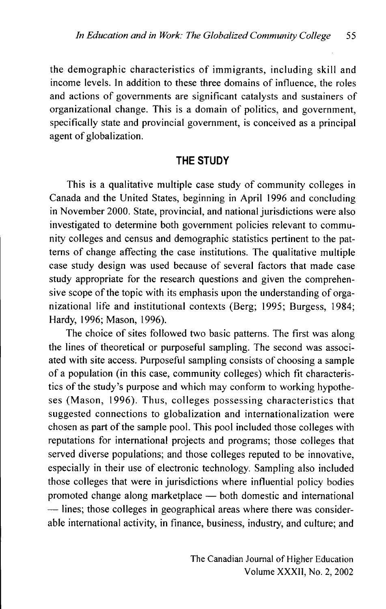the demographic characteristics of immigrants, including skill and income levels. In addition to these three domains of influence, the roles and actions of governments are significant catalysts and sustainers of organizational change. This is a domain of politics, and government, specifically state and provincial government, is conceived as a principal agent of globalization.

## **THE STUDY**

This is a qualitative multiple case study of community colleges in Canada and the United States, beginning in April 1996 and concluding in November 2000. State, provincial, and national jurisdictions were also investigated to determine both government policies relevant to community colleges and census and demographic statistics pertinent to the patterns of change affecting the case institutions. The qualitative multiple case study design was used because of several factors that made case study appropriate for the research questions and given the comprehensive scope of the topic with its emphasis upon the understanding of organizational life and institutional contexts (Berg; 1995; Burgess, 1984; Hardy, 1996; Mason, 1996).

The choice of sites followed two basic patterns. The first was along the lines of theoretical or purposeful sampling. The second was associated with site access. Purposeful sampling consists of choosing a sample of a population (in this case, community colleges) which fit characteristics of the study's purpose and which may conform to working hypotheses (Mason, 1996). Thus, colleges possessing characteristics that suggested connections to globalization and internationalization were chosen as part of the sample pool. This pool included those colleges with reputations for international projects and programs; those colleges that served diverse populations; and those colleges reputed to be innovative, especially in their use of electronic technology. Sampling also included those colleges that were in jurisdictions where influential policy bodies promoted change along marketplace — both domestic and international — lines; those colleges in geographical areas where there was considerable international activity, in finance, business, industry, and culture; and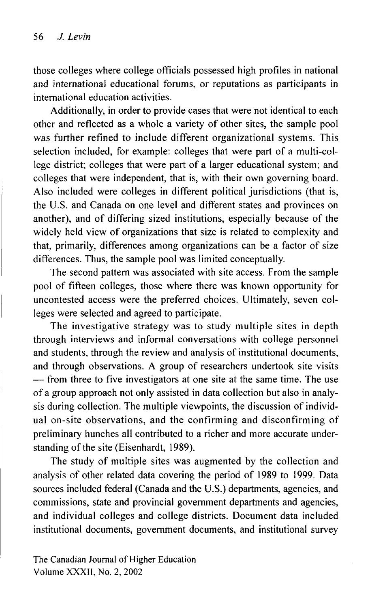those colleges where college officials possessed high profiles in national and international educational forums, or reputations as participants in international education activities.

Additionally, in order to provide cases that were not identical to each other and reflected as a whole a variety of other sites, the sample pool was further refined to include different organizational systems. This selection included, for example: colleges that were part of a multi-college district; colleges that were part of a larger educational system; and colleges that were independent, that is, with their own governing board. Also included were colleges in different political jurisdictions (that is, the U.S. and Canada on one level and different states and provinces on another), and of differing sized institutions, especially because of the widely held view of organizations that size is related to complexity and that, primarily, differences among organizations can be a factor of size differences. Thus, the sample pool was limited conceptually.

The second pattern was associated with site access. From the sample pool of fifteen colleges, those where there was known opportunity for uncontested access were the preferred choices. Ultimately, seven colleges were selected and agreed to participate.

The investigative strategy was to study multiple sites in depth through interviews and informal conversations with college personnel and students, through the review and analysis of institutional documents, and through observations. A group of researchers undertook site visits — from three to five investigators at one site at the same time. The use of a group approach not only assisted in data collection but also in analysis during collection. The multiple viewpoints, the discussion of individual on-site observations, and the confirming and disconfirming of preliminary hunches all contributed to a richer and more accurate understanding of the site (Eisenhardt, 1989).

The study of multiple sites was augmented by the collection and analysis of other related data covering the period of 1989 to 1999. Data sources included federal (Canada and the U.S.) departments, agencies, and commissions, state and provincial government departments and agencies, and individual colleges and college districts. Document data included institutional documents, government documents, and institutional survey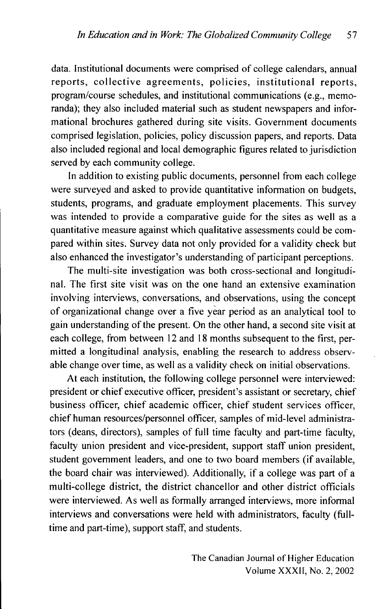data. Institutional documents were comprised of college calendars, annual reports, collective agreements, policies, institutional reports, program/course schedules, and institutional communications (e.g., memoranda); they also included material such as student newspapers and informational brochures gathered during site visits. Government documents comprised legislation, policies, policy discussion papers, and reports. Data also included regional and local demographic figures related to jurisdiction served by each community college.

In addition to existing public documents, personnel from each college were surveyed and asked to provide quantitative information on budgets, students, programs, and graduate employment placements. This survey was intended to provide a comparative guide for the sites as well as a quantitative measure against which qualitative assessments could be compared within sites. Survey data not only provided for a validity check but also enhanced the investigator's understanding of participant perceptions.

The multi-site investigation was both cross-sectional and longitudinal. The first site visit was on the one hand an extensive examination involving interviews, conversations, and observations, using the concept of organizational change over a five year period as an analytical tool to gain understanding of the present. On the other hand, a second site visit at each college, from between 12 and 18 months subsequent to the first, permitted a longitudinal analysis, enabling the research to address observable change over time, as well as a validity check on initial observations.

At each institution, the following college personnel were interviewed: president or chief executive officer, president's assistant or secretary, chief business officer, chief academic officer, chief student services officer, chief human resources/personnel officer, samples of mid-level administrators (deans, directors), samples of full time faculty and part-time faculty, faculty union president and vice-president, support staff union president, student government leaders, and one to two board members (if available, the board chair was interviewed). Additionally, if a college was part of a multi-college district, the district chancellor and other district officials were interviewed. As well as formally arranged interviews, more informal interviews and conversations were held with administrators, faculty (fulltime and part-time), support staff, and students.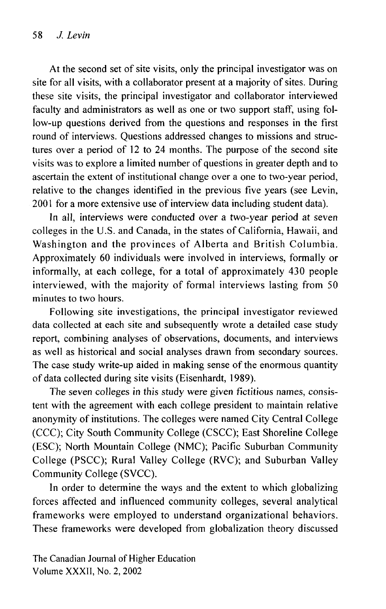At the second set of site visits, only the principal investigator was on site for all visits, with a collaborator present at a majority of sites. During these site visits, the principal investigator and collaborator interviewed faculty and administrators as well as one or two support staff, using follow-up questions derived from the questions and responses in the first round of interviews. Questions addressed changes to missions and structures over a period of 12 to 24 months. The purpose of the second site visits was to explore a limited number of questions in greater depth and to ascertain the extent of institutional change over a one to two-year period, relative to the changes identified in the previous five years (see Levin, 2001 for a more extensive use of interview data including student data).

In all, interviews were conducted over a two-year period at seven colleges in the U.S. and Canada, in the states of California, Hawaii, and Washington and the provinces of Alberta and British Columbia. Approximately 60 individuals were involved in interviews, formally or informally, at each college, for a total of approximately 430 people interviewed, with the majority of formal interviews lasting from 50 minutes to two hours.

Following site investigations, the principal investigator reviewed data collected at each site and subsequently wrote a detailed case study report, combining analyses of observations, documents, and interviews as well as historical and social analyses drawn from secondary sources. The case study write-up aided in making sense of the enormous quantity of data collected during site visits (Eisenhardt, 1989).

The seven colleges in this study were given fictitious names, consistent with the agreement with each college president to maintain relative anonymity of institutions. The colleges were named City Central College (CCC); City South Community College (CSCC); East Shoreline College (ESC); North Mountain College (NMC); Pacific Suburban Community College (PSCC); Rural Valley College (RVC); and Suburban Valley Community College (SVCC).

In order to determine the ways and the extent to which globalizing forces affected and influenced community colleges, several analytical frameworks were employed to understand organizational behaviors. These frameworks were developed from globalization theory discussed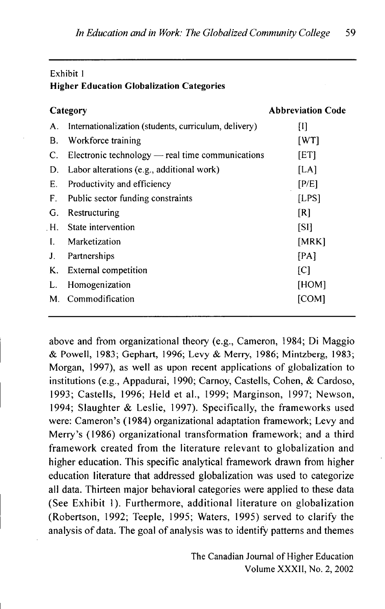#### Exhibit 1 **Higher Education Globalization Categories**

| Category |                                                       | <b>Abbreviation Code</b> |
|----------|-------------------------------------------------------|--------------------------|
| А.       | Internationalization (students, curriculum, delivery) | $[1]$                    |
| В.       | Workforce training                                    | [WT]                     |
| C.       | Electronic technology — real time communications      | [ET]                     |
| D.       | Labor alterations (e.g., additional work)             | [LA]                     |
| Е.       | Productivity and efficiency                           | [P/E]                    |
| F.       | Public sector funding constraints                     | [LPS]                    |
| G.       | Restructuring                                         | [R]                      |
|          | H. State intervention                                 | [SI]                     |
| L        | Marketization                                         | [MRK]                    |
| J.       | Partnerships                                          | [PA]                     |
| K.       | External competition                                  | $\lceil C \rceil$        |
| L.       | Homogenization                                        | [HOM]                    |
| М.       | Commodification                                       | [COM]                    |

above and from organizational theory (e.g., Cameron, 1984; Di Maggio & Powell, 1983; Gephart, 1996; Levy & Meriy, 1986; Mintzberg, 1983; Morgan, 1997), as well as upon recent applications of globalization to institutions (e.g., Appadurai, 1990; Carnoy, Castells, Cohen, & Cardoso, 1993; Castells, 1996; Held et al., 1999; Marginson, 1997; Newson , 1994; Slaughter & Leslie, 1997). Specifically, the frameworks used were: Cameron's (1984) organizational adaptation framework; Levy and Merry's (1986) organizational transformation framework; and a third framework created from the literature relevant to globalization and higher education. This specific analytical framework drawn from higher education literature that addressed globalization was used to categorize all data. Thirteen major behavioral categories were applied to these data (See Exhibit 1). Furthermore, additional literature on globalization (Robertson, 1992; Teeple, 1995; Waters, 1995) served to clarify the analysis of data. The goal of analysis was to identify patterns and themes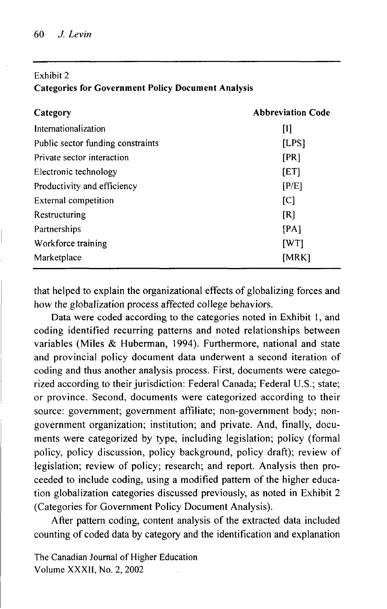#### Exhibit 2 **Categories for Government Policy Document Analysis**

| Category                          | <b>Abbreviation Code</b> |  |
|-----------------------------------|--------------------------|--|
| Internationalization              | Ш                        |  |
| Public sector funding constraints | [LPS]                    |  |
| Private sector interaction        | [PR]                     |  |
| Electronic technology             | [ET]                     |  |
| Productivity and efficiency       | [P/E]                    |  |
| External competition              | [C]                      |  |
| Restructuring                     | [R]                      |  |
| Partnerships                      | [PA]                     |  |
| Workforce training                | [WT]                     |  |
| Marketplace                       | [MRK]                    |  |

that helped to explain the organizational effects of globalizing forces and how the globalization process affected college behaviors.

Data were coded according to the categories noted in Exhibit 1, and coding identified recurring patterns and noted relationships between variables (Miles & Huberman, 1994). Furthermore, national and state and provincial policy document data underwent a second iteration of coding and thus another analysis process. First, documents were categorized according to their jurisdiction: Federal Canada; Federal U.S.; state; or province. Second, documents were categorized according to their source: government; government affiliate; non-government body; nongovernment organization; institution; and private. And, finally, documents were categorized by type, including legislation; policy (formal policy, policy discussion, policy background, policy draft); review of legislation; review of policy; research; and report. Analysis then proceeded to include coding, using a modified pattern of the higher education globalization categories discussed previously, as noted in Exhibit 2 (Categories for Government Policy Document Analysis).

After pattern coding, content analysis of the extracted data included counting of coded data by category and the identification and explanation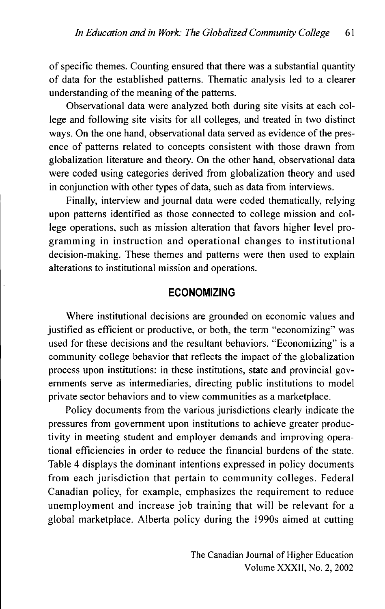of specific themes. Counting ensured that there was a substantial quantity of data for the established patterns. Thematic analysis led to a clearer understanding of the meaning of the patterns.

Observational data were analyzed both during site visits at each college and following site visits for all colleges, and treated in two distinct ways. On the one hand, observational data served as evidence of the presence of patterns related to concepts consistent with those drawn from globalization literature and theory. On the other hand, observational data were coded using categories derived from globalization theory and used in conjunction with other types of data, such as data from interviews.

Finally, interview and journal data were coded thematically, relying upon patterns identified as those connected to college mission and college operations, such as mission alteration that favors higher level programming in instruction and operational changes to institutional decision-making. These themes and patterns were then used to explain alterations to institutional mission and operations.

#### **ECONOMIZING**

Where institutional decisions are grounded on economic values and justified as efficient or productive, or both, the term "economizing" was used for these decisions and the resultant behaviors. "Economizing" is a community college behavior that reflects the impact of the globalization process upon institutions: in these institutions, state and provincial governments serve as intermediaries, directing public institutions to model private sector behaviors and to view communities as a marketplace.

Policy documents from the various jurisdictions clearly indicate the pressures from government upon institutions to achieve greater productivity in meeting student and employer demands and improving operational efficiencies in order to reduce the financial burdens of the state. Table 4 displays the dominant intentions expressed in policy documents from each jurisdiction that pertain to community colleges. Federal Canadian policy, for example, emphasizes the requirement to reduce unemployment and increase job training that will be relevant for a global marketplace. Alberta policy during the 1990s aimed at cutting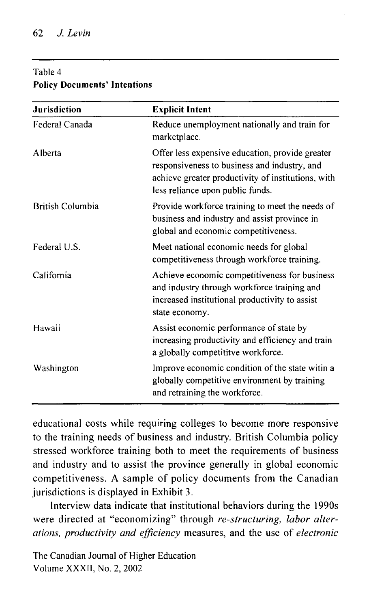#### Table 4 **Policy Documents' Intentions**

| <b>Jurisdiction</b>     | <b>Explicit Intent</b>                                                                                                                                                                    |
|-------------------------|-------------------------------------------------------------------------------------------------------------------------------------------------------------------------------------------|
| Federal Canada          | Reduce unemployment nationally and train for<br>marketplace.                                                                                                                              |
| Alberta                 | Offer less expensive education, provide greater<br>responsiveness to business and industry, and<br>achieve greater productivity of institutions, with<br>less reliance upon public funds. |
| <b>British Columbia</b> | Provide workforce training to meet the needs of<br>business and industry and assist province in<br>global and economic competitiveness.                                                   |
| Federal U.S.            | Meet national economic needs for global<br>competitiveness through workforce training.                                                                                                    |
| California              | Achieve economic competitiveness for business<br>and industry through workforce training and<br>increased institutional productivity to assist<br>state economy.                          |
| Hawaii                  | Assist economic performance of state by<br>increasing productivity and efficiency and train<br>a globally competititve workforce.                                                         |
| Washington              | Improve economic condition of the state witin a<br>globally competitive environment by training<br>and retraining the workforce.                                                          |

educational costs while requiring colleges to become more responsive to the training needs of business and industry. British Columbia policy stressed workforce training both to meet the requirements of business and industry and to assist the province generally in global economic competitiveness. A sample of policy documents from the Canadian jurisdictions is displayed in Exhibit 3.

Interview data indicate that institutional behaviors during the 1990s were directed at "economizing" through *re-structuring, labor alterations, productivity and efficiency* measures, and the use of *electronic*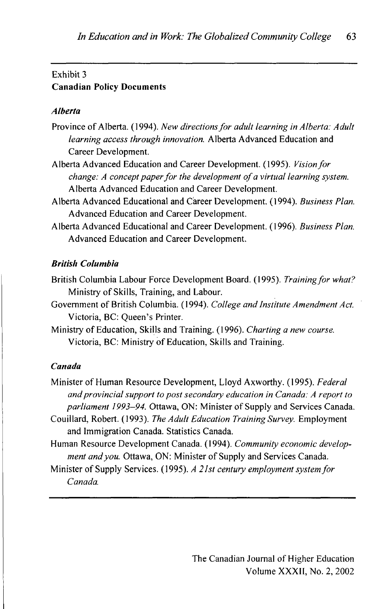# Exhibit 3 **Canadian Policy Documents**

#### **Alberta**

- Provinc e o f Alberta . (1994). *New directions for adult learning in Alberta: Adult learning access through innovation.* Albert a Advance d Educatio n an d Career Development.<br>Alberta Advanced Education and Career Development. (1995). *Vision for*
- Albert a Advance d Educatio n an d Caree r Development . (1995). *Vision for change: A concept paper for the development of a virtual learning system.*  Alberta Advanced Education and Career Development.<br>Alberta Advanced Educational and Career Development. (1994). Business Plan.
- Advanced Education and Career Development. Advance d Educatio n an d Caree r Development .
- Albert a Advance d Educationa l an d Caree r Development . (1996). *Business Plan.*  Advanced Education and Career Development.

#### *British Columbia*

- British Columbia Labour Force Development Board. (1995). *Training for what?* Ministry of Skills, Training, and Labour.
- Government of British Columbia. (1994). *College and Institute Amendment Act.* Victoria, BC: Queen's Printer.
- Ministry of Education, Skills and Training. (1996). Charting a new course. Victoria, BC: Ministry of Education, Skills and Training.

#### *Canada*

- Minister of Human Resource Development, Lloyd Axworthy. (1995). *Federal and provincial support to post secondary education in Canada: A report to*  parliament 1993-94. Ottawa, ON: Minister of Supply and Services Canada.
- Couillard, Robert. (1993). The Adult Education Training Survey. Employment and Immigration Canada. Statistics Canada.
- Human Resource Development Canada. (1994). Community economic develop*ment and you.* Ottawa, ON: Minister of Supply and Services Canada.
- Minister of Supply Services. (1995). *A 21st century employment system for Canada.*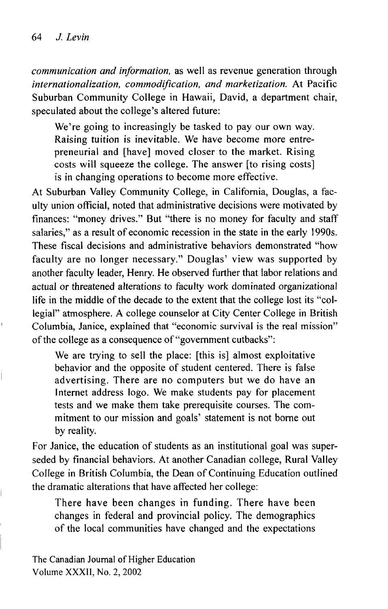*communication and information,* as well as revenue generation through *internationalization, commodification, and marketization.* At Pacific Suburban Community College in Hawaii, David, a department chair, speculated about the college's altered future:

We're going to increasingly be tasked to pay our own way. Raising tuition is inevitable. We have become more entrepreneurial and [have] moved closer to the market. Rising costs will squeeze the college. The answer [to rising costs] is in changing operations to become more effective.

At Suburban Valley Community College, in California, Douglas, a faculty union official, noted that administrative decisions were motivated by finances: "money drives." But "there is no money for faculty and staff salaries," as a result of economic recession in the state in the early 1990s. These fiscal decisions and administrative behaviors demonstrated "how faculty are no longer necessary." Douglas' view was supported by another faculty leader, Henry. He observed further that labor relations and actual or threatened alterations to faculty work dominated organizational life in the middle of the decade to the extent that the college lost its "collegial" atmosphere. A college counselor at City Center College in British Columbia, Janice, explained that "economic survival is the real mission" of the college as a consequence of "government cutbacks":

We are trying to sell the place: [this is] almost exploitative behavior and the opposite of student centered. There is false advertising. There are no computers but we do have an Internet address logo. We make students pay for placement tests and we make them take prerequisite courses. The commitment to our mission and goals' statement is not borne out by reality.

For Janice, the education of students as an institutional goal was superseded by financial behaviors. At another Canadian college, Rural Valley College in British Columbia, the Dean of Continuing Education outlined the dramatic alterations that have affected her college:

There have been changes in funding. There have been changes in federal and provincial policy. The demographics of the local communities have changed and the expectations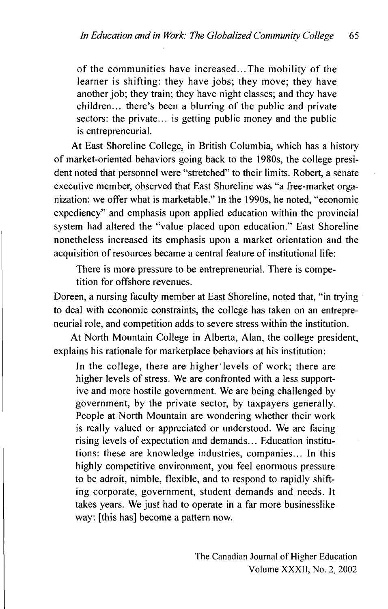of the communities have increased...The mobility of the learner is shifting: they have jobs; they move; they have another job; they train; they have night classes; and they have children... there's been a blurring of the public and private sectors: the private... is getting public money and the public is entrepreneurial.

At East Shoreline College, in British Columbia, which has a history of market-oriented behaviors going back to the 1980s, the college president noted that personnel were "stretched" to their limits. Robert, a senate executive member, observed that East Shoreline was "a free-market organization: we offer what is marketable." In the 1990s, he noted, "economic expediency" and emphasis upon applied education within the provincial system had altered the "value placed upon education." East Shoreline nonetheless increased its emphasis upon a market orientation and the acquisition of resources became a central feature of institutional life:

There is more pressure to be entrepreneurial. There is competition for offshore revenues.

Doreen, a nursing faculty member at East Shoreline, noted that, "in trying to deal with economic constraints, the college has taken on an entrepreneurial role, and competition adds to severe stress within the institution.

At North Mountain College in Alberta, Alan, the college president, explains his rationale for marketplace behaviors at his institution:

In the college, there are higher'levels of work; there are higher levels of stress. We are confronted with a less supportive and more hostile government. We are being challenged by government, by the private sector, by taxpayers generally. People at North Mountain are wondering whether their work is really valued or appreciated or understood. We are facing rising levels of expectation and demands... Education institutions: these are knowledge industries, companies... In this highly competitive environment, you feel enormous pressure to be adroit, nimble, flexible, and to respond to rapidly shifting corporate, government, student demands and needs. It takes years. We just had to operate in a far more businesslike way: [this has] become a pattern now.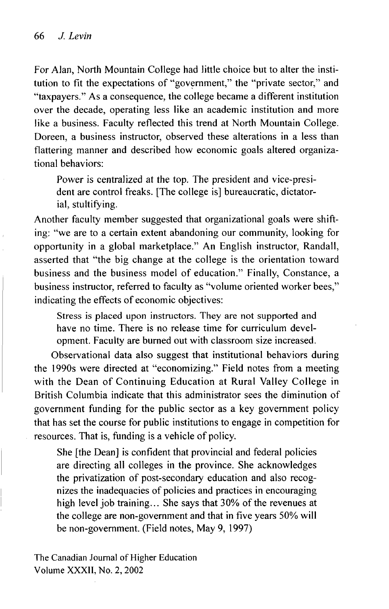For Alan, North Mountain College had little choice but to alter the institution to fit the expectations of "government," the "private sector," and "taxpayers." As a consequence, the college became a different institution over the decade, operating less like an academic institution and more like a business. Faculty reflected this trend at North Mountain College. Doreen, a business instructor, observed these alterations in a less than flattering manner and described how economic goals altered organizational behaviors:

Power is centralized at the top. The president and vice-president are control freaks. [The college is] bureaucratic, dictatorial, stultifying.

Another faculty member suggested that organizational goals were shifting: "we are to a certain extent abandoning our community, looking for opportunity in a global marketplace." An English instructor, Randall, asserted that "the big change at the college is the orientation toward business and the business model of education." Finally, Constance, a business instructor, referred to faculty as "volume oriented worker bees," indicating the effects of economic objectives:

Stress is placed upon instructors. They are not supported and have no time. There is no release time for curriculum development. Faculty are burned out with classroom size increased.

Observational data also suggest that institutional behaviors during the 1990s were directed at "economizing." Field notes from a meeting with the Dean of Continuing Education at Rural Valley College in British Columbia indicate that this administrator sees the diminution of government funding for the public sector as a key government policy that has set the course for public institutions to engage in competition for resources. That is, funding is a vehicle of policy.

She [the Dean] is confident that provincial and federal policies are directing all colleges in the province. She acknowledges the privatization of post-secondary education and also recognizes the inadequacies of policies and practices in encouraging high level job training... She says that 30% of the revenues at the college are non-government and that in five years 50% will be non-government. (Field notes, May 9, 1997)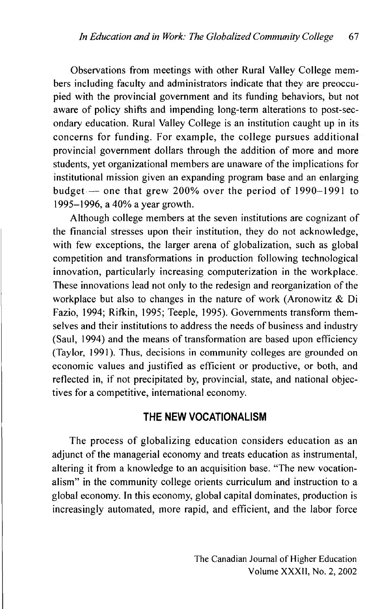Observations from meetings with other Rural Valley College members including faculty and administrators indicate that they are preoccupied with the provincial government and its funding behaviors, but not aware of policy shifts and impending long-term alterations to post-secondary education. Rural Valley College is an institution caught up in its concerns for funding. For example, the college pursues additional provincial government dollars through the addition of more and more students, yet organizational members are unaware of the implications for institutional mission given an expanding program base and an enlarging budget — one that grew 200% over the period of  $1990-1991$  to 1995-1996, a 40% a year growth.

Although college members at the seven institutions are cognizant of the financial stresses upon their institution, they do not acknowledge, with few exceptions, the larger arena of globalization, such as global competition and transformations in production following technological innovation, particularly increasing computerization in the workplace. These innovations lead not only to the redesign and reorganization of the workplace but also to changes in the nature of work (Aronowitz & Di Fazio, 1994; Rifkin, 1995; Teeple, 1995). Governments transform themselves and their institutions to address the needs of business and industry (Saul, 1994) and the means of transformation are based upon efficiency (Taylor, 1991). Thus, decisions in community colleges are grounded on economic values and justified as efficient or productive, or both, and reflected in, if not precipitated by, provincial, state, and national objectives for a competitive, international economy.

#### **THE NEW VOCATIONALISM**

The process of globalizing education considers education as an adjunct of the managerial economy and treats education as instrumental, altering it from a knowledge to an acquisition base. "The new vocationalism" in the community college orients curriculum and instruction to a global economy. In this economy, global capital dominates, production is increasingly automated, more rapid, and efficient, and the labor force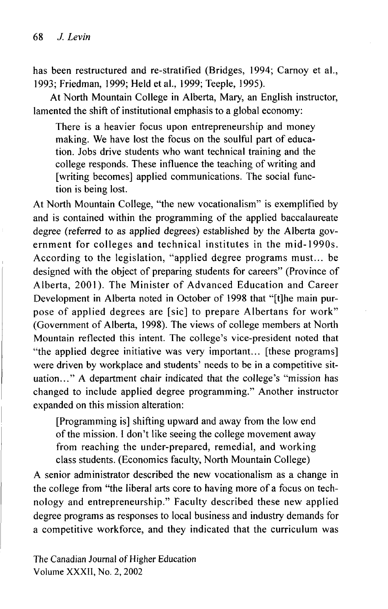has been restructured and re-stratified (Bridges, 1994; Carnoy et al., 1993; Friedman, 1999; Held etal., 1999; Teeple, 1995).

At North Mountain College in Alberta, Mary, an English instructor, lamented the shift of institutional emphasis to a global economy:

There is a heavier focus upon entrepreneurship and money making. We have lost the focus on the soulful part of education. Jobs drive students who want technical training and the college responds. These influence the teaching of writing and [writing becomes] applied communications. The social function is being lost.

At North Mountain College, "the new vocationalism" is exemplified by and is contained within the programming of the applied baccalaureate degree (referred to as applied degrees) established by the Alberta government for colleges and technical institutes in the mid-1990s. According to the legislation, "applied degree programs must... be designed with the object of preparing students for careers" (Province of Alberta, 2001). The Minister of Advanced Education and Career Development in Alberta noted in October of 1998 that "[t]he main purpose of applied degrees are [sic] to prepare Albertans for work" (Government of Alberta, 1998). The views of college members at North Mountain reflected this intent. The college's vice-president noted that "the applied degree initiative was very important... [these programs] were driven by workplace and students' needs to be in a competitive situation... " A department chair indicated that the college's "mission has changed to include applied degree programming. " Another instructor expanded on this mission alteration:

[Programming is] shifting upward and away from the low end of the mission. I don't like seeing the college movement away from reaching the under-prepared, remedial, and working class students. (Economics faculty, North Mountain College)

A senior administrator described the new vocationalism as a change in the college from "the liberal arts core to having more of a focus on technology and entrepreneurship." Faculty described these new applied degree programs as responses to local business and industry demands for a competitive workforce, and they indicated that the curriculum was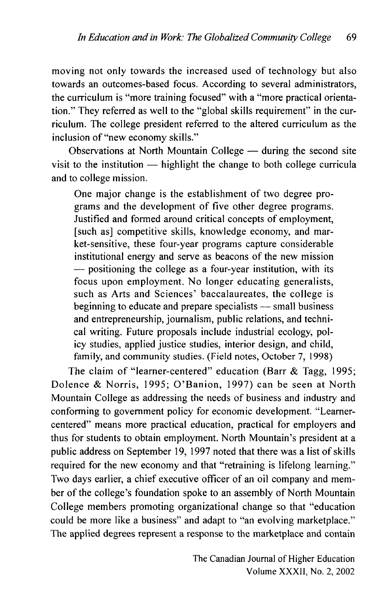moving not only towards the increased used of technology but also towards an outcomes-based focus. According to several administrators, the curriculum is "more training focused" with a "more practical orientation." They referred as well to the "global skills requirement" in the curriculum. The college president referred to the altered curriculum as the inclusion of "new economy skills."

Observations at North Mountain College — during the second site visit to the institution — highlight the change to both college curricula and to college mission.

One major change is the establishment of two degree programs and the development of five other degree programs. Justified and formed around critical concepts of employment, [such as] competitive skills, knowledge economy, and market-sensitive, these four-year programs capture considerable institutional energy and serve as beacons of the new mission — positioning the college as a four-year institution, with its focus upon employment. No longer educating generalists, such as Arts and Sciences' baccalaureates, the college is beginning to educate and prepare specialists — small business and entrepreneurship, journalism, public relations, and techni-<br>cal writing. Future proposals include industrial ecology, policy studies, applied justice studies, interior design, and child, family, and community studies. (Field notes, October 7, 1998) family, and community studies. (Field notes, October 7, 1998)

The claim of "learner-centered" education (Barr & Tagg, 1995; Dolence & Norris, 1995; O'Banion, 1997) can be seen at North Mountain College as addressing the needs of business and industry and conforming to government policy for economic development. "Learnercentered" means more practical education, practical for employers and thus for students to obtain employment. North Mountain's president at a public address on September 19, 1997 noted that there was a list of skills required for the new economy and that "retraining is lifelong learning." Two days earlier, a chief executive officer of an oil company and member of the college's foundation spoke to an assembly of North Mountain College members promoting organizational change so that "education could be more like a business" and adapt to "an evolving marketplace." The applied degrees represent a response to the marketplace and contain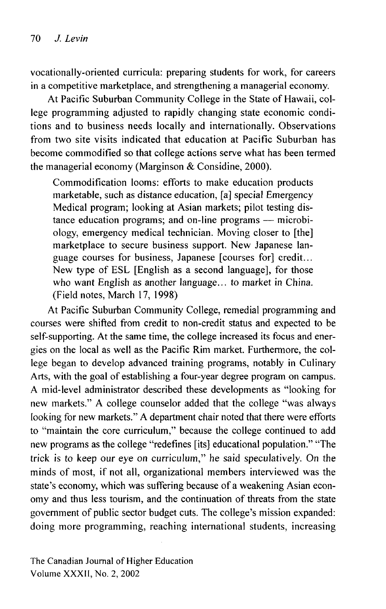vocationally-oriented curricula: preparing students for work, for careers in a competitive marketplace, and strengthening a managerial economy.

At Pacific Suburban Community College in the State of Hawaii, college programming adjusted to rapidly changing state economic conditions and to business needs locally and internationally. Observations from two site visits indicated that education at Pacific Suburban has become commodifïed so that college actions serve what has been termed the managerial economy (Marginson & Considine, 2000).

Commodification looms: efforts to make education products marketable, such as distance education, [a] special Emergency Medical program; looking at Asian markets; pilot testing distance education programs; and on-line programs — microbiology, emergency medical technician. Moving closer to [the] marketplace to secure business support. New Japanese language courses for business, Japanese [courses for] credit... New type of ESL [English as a second language], for those who want English as another language... to market in China.  $(Field notes, March 17, 1998)$ .

At Pacific Suburban Community College, remedial programming and At Pacific Suburban Community College, remedial programming and courses were shifted from credit to non-credit status and expected to be self-supporting. At the same time, the college increased its focus and energies on the local as well as the Pacific Rim market. Furthermore, the college began to develop advanced training programs, notably in Culinary Arts, with the goal of establishing a four-year degree program on campus. A mid-level administrator described these developments as "looking for new markets." A college counselor added that the college "was always looking for new markets." A department chair noted that there were efforts to "maintain the core curriculum," because the college continued to add new programs as the college "redefines [its] educational population." "The trick is to keep our eye on curriculum," he said speculatively. On the minds of most, if not all, organizational members interviewed was the state's economy, which was suffering because of a weakening Asian economy and thus less tourism, and the continuation of threats from the state government of public sector budget cuts. The college's mission expanded: doing more programming, reaching international students, increasing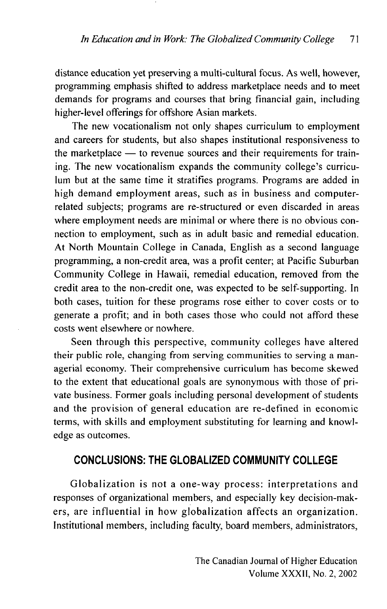distance education yet preserving a multi-cultural focus. As well, however, programming emphasis shifted to address marketplace needs and to meet demands for programs and courses that bring financial gain, including higher-level offerings for offshore Asian markets.

The new vocationalism not only shapes curriculum to employment and careers for students, but also shapes institutional responsiveness to the marketplace — to revenue sources and their requirements for training. The new vocationalism expands the community college's curriculum but at the same time it stratifies programs. Programs are added in high demand employment areas, such as in business and computerrelated subjects; programs are re-structured or even discarded in areas where employment needs are minimal or where there is no obvious connection to employment, such as in adult basic and remedial education. At North Mountain College in Canada, English as a second language programming, a non-credit area, was a profit center; at Pacific Suburban Community College in Hawaii, remedial education, removed from the credit area to the non-credit one, was expected to be self-supporting. In both cases, tuition for these programs rose either to cover costs or to generate a profit; and in both cases those who could not afford these costs went elsewhere or nowhere.

Seen through this perspective, community colleges have altered their public role, changing from serving communities to serving a managerial economy. Their comprehensive curriculum has become skewed to the extent that educational goals are synonymous with those of private business. Former goals including personal development of students and the provision of general education are re-defined in economic terms, with skills and employment substituting for learning and knowledge as outcomes.

### **CONCLUSIONS: THE GLOBALIZED COMMUNITY COLLEGE**

Globalization is not a one-way process: interpretations and responses of organizational members, and especially key decision-makers, are influential in how globalization affects an organization. Institutional members, including faculty, board members, administrators,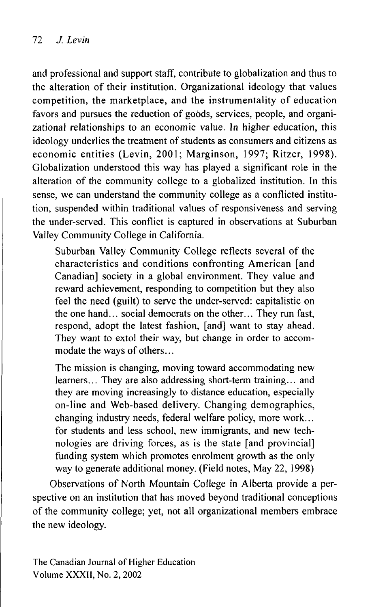and professional and support staff, contribute to globalization and thus to the alteration of their institution. Organizational ideology that values competition, the marketplace, and the instrumentality of education favors and pursues the reduction of goods, services, people, and organizational relationships to an economic value. In higher education, this ideology underlies the treatment of students as consumers and citizens as economic entities (Levin, 2001; Marginson, 1997; Ritzer, 1998). Globalization understood this way has played a significant role in the alteration of the community college to a globalized institution. In this sense, we can understand the community college as a conflicted institution, suspended within traditional values of responsiveness and serving the under-served. This conflict is captured in observations at Suburban Valley Community College in California.

Suburban Valley Community College reflects several of the characteristics and conditions confronting American [and Canadian] society in a global environment. They value and reward achievement, responding to competition but they also feel the need (guilt) to serve the under-served: capitalistic on the one hand... social democrats on the other... They run fast, respond, adopt the latest fashion, [and] want to stay ahead. They want to extol their way, but change in order to accommodate the ways of others...

The mission is changing, moving toward accommodating new learners... They are also addressing short-term training... and they are moving increasingly to distance education, especially on-line and Web-based delivery. Changing demographics, changing industry needs, federal welfare policy, more work... for students and less school, new immigrants, and new technologies are driving forces, as is the state [and provincial] funding system which promotes enrolment growth as the only way to generate additional money. (Field notes, May 22, 1998)

Observations of North Mountain College in Alberta provide a perspective on an institution that has moved beyond traditional conceptions of the community college; yet, not all organizational members embrace the new ideology.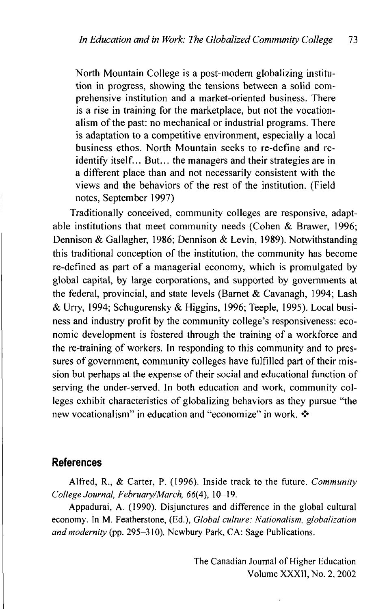North Mountain College is a post-modern globalizing institution in progress, showing the tensions between a solid comprehensive institution and a market-oriented business. There is a rise in training for the marketplace, but not the vocationalism of the past: no mechanical or industrial programs. There is adaptation to a competitive environment, especially a local business ethos. North Mountain seeks to re-define and reidentify itself... But... the managers and their strategies are in<br>a different place than and not necessarily consistent with the a different place than and not necessarily consistent with the views and the behaviors of the rest of the institution. (Field notes, September 1997)

Traditionally conceived, community colleges are responsive, adaptable institutions that meet community needs (Cohen & Brawer, 1996; Dennison & Gallagher, 1986; Dennison & Levin, 1989). Notwithstanding this traditional conception of the institution, the community has become re-defined as part of a managerial economy, which is promulgated by global capital, by large corporations, and supported by governments at the federal, provincial, and state levels (Barnet & Cavanagh, 1994; Lash & Urry, 1994; Schugurensky & Higgins, 1996; Teeple, 1995). Local business and industry profit by the community college's responsiveness: economic development is fostered through the training of a workforce and the re-training of workers. In responding to this community and to pressures of government, community colleges have fulfilled part of their mission but perhaps at the expense of their social and educational function of serving the under-served. In both education and work, community colleges exhibit characteristics of globalizing behaviors as they pursue "the new vocationalism" in education and "economize" in work.  $\cdot \cdot$ 

#### **References**

Alfred, R., & Carter, P. (1996). Inside track to the future. *Community College Journal, February/March, 66{A), 10-19.* 

Appadurai, A. (1990). Disjunctures and difference in the global cultural economy. In M. Featherstone, (Ed.), *Global culture: Nationalism, globalization and modernity (pp. 295–310). Newbury Park, CA: Sage Publications.*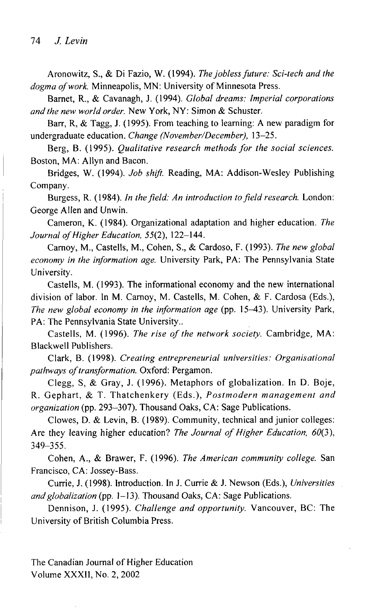Aronowitz , S., & Di Fazio , W . (1994). *The jobless future: Sci-tech and the dogma of work.* Minneapolis, MN: University of Minnesota Press.

Barnet, R., & Cavanagh , J. (1994). *Global dreams: Imperial corporations*  and the new world order. New York, NY: Simon & Schuster.

Barr, R, & Tagg, J. (1995). From teaching to learning: A new paradigm for undergraduate education. *Change (November/December)*, 13-25.

Berg, B. (1995). *Qualitative research methods for the social sciences*. Boston, MA: Allyn and Bacon.

Bridges, W. (1994). *Job shift.* Reading, MA: Addison-Wesley Publishing Company.

Burgess, R. (1984). *In the field: An introduction to field research*. London: George Allen and Unwin.

Cameron, K. (1984). Organizational adaptation and higher education. The *Journal of Higher Education,* 55(2), 122-144 .

Carnoy, M., Castells, M., Cohen, S., & Cardoso, F. (1993). The new global *economy in the information age.* University Park, PA: The Pennsylvania State University.

Castells, M. (1993). The informational economy and the new international division of labor. In M. Carnoy, M. Castells, M. Cohen, & F. Cardosa (Eds.), *The new global economy in the information age* (pp. 15–43). University Park, PA: The Pennsylvania State University...

Castells, M. (1996). The rise of the network society. Cambridge, MA: Blackwell Publishers.

Clark , B. (1998). *Creating entrepreneurial universities: Organisational*  pathways of transformation. Oxford: Pergamon.

Clegg, S, & Gray, J. (1996). Metaphors of globalization. In D. Boje, R. Gephart, & T. Thatchenkery (Eds.), Postmodern management and *organization* (pp. 293–307). Thousand Oaks, CA: Sage Publications.

Clowes, D. & Levin, B. (1989). Community, technical and junior colleges: Are they leaving higher education? *The Journal of Higher Education, 60(3)*, 349-355 .

Cohen, A., & Brawer, F. (1996). *The American community college.* San Francisco, CA: Jossey-Bass.

Currie, J. (1998). Introduction. In J. Currie & J. Newson (Eds.), Universities *and globalization* (pp. 1–13). Thousand Oaks, CA: Sage Publications.

Dennison, J. (1995). *Challenge and opportunity*. Vancouver, BC: The University of British Columbia Press.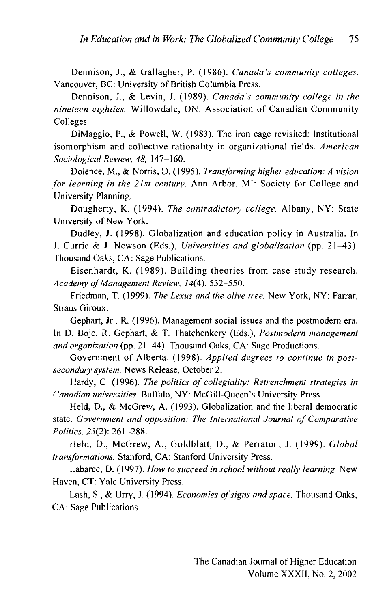Dennison, J., & Gallagher, P. (1986). *Canada's community colleges.* Vancouver, BC: University of British Columbia Press.

Dennison, J., & Levin, J. (1989). Canada's community college in the *nineteen eighties.* Willowdale, ON: Association of Canadian Community Colleges.

DiMaggio, P., & Powell, W. (1983). The iron cage revisited: Institutional isomorphism and collective rationality in organizational fields. American *Sociological Review, 48,* 147-160 .

Dolence , M., & Norris, D. (1995). *Transforming higher education: A vision for learning in the 21st century.* Ann Arbor, MI: Society for College and University Planning.

Dougherty, K. (1994). *The contradictory college*. Albany, NY: State University of New York.

Dudley, J. (1998). Globalization and education policy in Australia. In J. Currie & J. Newson (Eds.), Universities and globalization (pp. 21–43). Thousand Oaks, CA: Sage Publications.

Eisenhardt, K. (1989). Building theories from case study research. *Academy of Management Review, 14(4),* 532-550 .

Friedman, T. (1999). *The Lexus and the olive tree.* New York, NY: Farrar, Straus Giroux.

Gephart, Jr., R. (1996). Management social issues and the postmodern era. In D. Boje, R. Gephart, & T. Thatchenkery (Eds.), Postmodern management *and organization* (pp. 21–44). Thousand Oaks, CA: Sage Productions.

Government of Alberta. (1998). Applied degrees to continue in postsecondary system. News Release, October 2.

Hardy, C. (1996). The politics of collegiality: Retrenchment strategies in *Canadian universities.* Buffalo, NY: McGill-Queen's University Press.

Held, D., & McGrew, A. (1993). Globalization and the liberal democratic state. *Government and opposition: The International Journal of Comparative Politics, 23(2):* 261-288 .

Held, D., McGrew, A., Goldblatt, D., & Perraton, J. (1999). Global transformations. Stanford, CA: Stanford University Press.

Labaree, D. (1997). How to succeed in school without really learning. New Haven, CT: Yale University Press.

Lash, S., & Urry, J. (1994). *Economies of signs and space*. Thousand Oaks, CA: Sage Publications.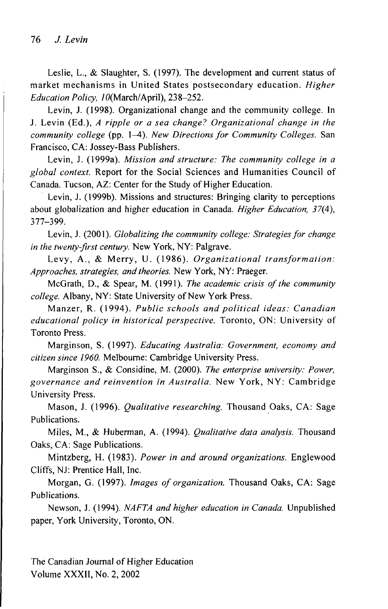Leslie, L., & Slaughter, S. (1997). The development and current status of market mechanisms in United States postsecondary education. *Higher Education Policy,* /0(March/April), 238-252 .

Levin, J. (1998). Organizational change and the community college. In J. Levin (Ed.), *A ripple or a sea change? Organizational change in the community college* (pp. l^t). *New Directions for Community Colleges.* San Francisco, CA: Jossey-Bass Publishers.

Levin , J. (1999a). *Mission and structure: The community college in a*  global context. Report for the Social Sciences and Humanities Council of Canada. Tucson, AZ: Center for the Study of Higher Education.

Levin, J. (1999b). Missions and structures: Bringing clarity to perceptions about globalization and higher education in Canada. *Higher Education*, 37(4), 377-399 .

Levin, J. (2001). *Globalizing the community college: Strategies for change in the twenty-first century.* New York, NY: Palgrave.

Levy, A., & Merry, U. (1986). Organizational transformation: *Approaches, strategies, and theories.* New York, NY: Praeger.

McGrath , D., & Spear, M . (1991). *The academic crisis of the community*  college. Albany, NY: State University of New York Press.

Manzer , R . (1994) . *Public schools and political ideas: Canadian*  educational policy in historical perspective. Toronto, ON: University of Toronto Press.

Marginson , S. (1997). *Educating Australia: Government, economy and*  citizen since 1960. Melbourne: Cambridge University Press.

Marginson S., & Considine, M. (2000). The enterprise university: Power, governance and reinvention in Australia. New York, NY: Cambridge University Press.

Mason, J. (1996). *Qualitative researching*. Thousand Oaks, CA: Sage Publications.

Miles, M., & Huberman, A. (1994). *Qualitative data analysis*. Thousand Oaks, CA: Sage Publications.

Mintzberg, H. (1983). Power in and around organizations. Englewood Cliffs, NJ: Prentice Hall, Inc.

Morgan, G. (1997). *Images of organization*. Thousand Oaks, CA: Sage Publications.

Newson, J. (1994). NAFTA and higher education in Canada. Unpublished paper, York University, Toronto, ON.